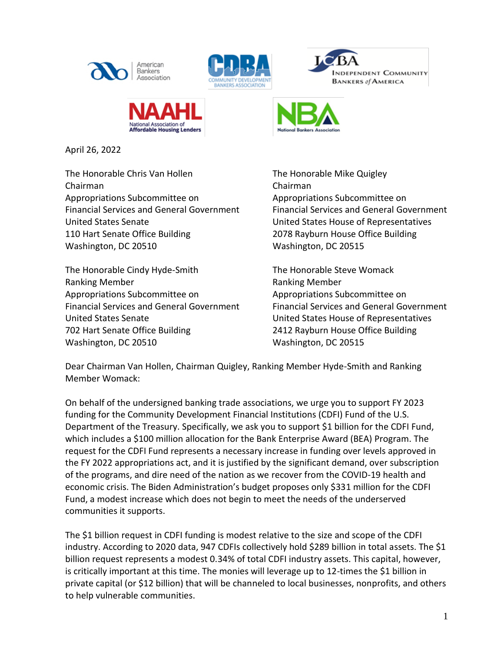







April 26, 2022

The Honorable Chris Van Hollen The Honorable Mike Quigley Chairman Chairman Appropriations Subcommittee on Appropriations Subcommittee on United States Senate United States House of Representatives 110 Hart Senate Office Building 2078 Rayburn House Office Building Washington, DC 20510 Washington, DC 20515

The Honorable Cindy Hyde-Smith The Honorable Steve Womack Ranking Member Ranking Member Appropriations Subcommittee on Appropriations Subcommittee on United States Senate United States House of Representatives 702 Hart Senate Office Building 2412 Rayburn House Office Building Washington, DC 20510 Washington, DC 20515

Financial Services and General Government Financial Services and General Government

Financial Services and General Government Financial Services and General Government

Dear Chairman Van Hollen, Chairman Quigley, Ranking Member Hyde-Smith and Ranking Member Womack:

On behalf of the undersigned banking trade associations, we urge you to support FY 2023 funding for the Community Development Financial Institutions (CDFI) Fund of the U.S. Department of the Treasury. Specifically, we ask you to support \$1 billion for the CDFI Fund, which includes a \$100 million allocation for the Bank Enterprise Award (BEA) Program. The request for the CDFI Fund represents a necessary increase in funding over levels approved in the FY 2022 appropriations act, and it is justified by the significant demand, over subscription of the programs, and dire need of the nation as we recover from the COVID-19 health and economic crisis. The Biden Administration's budget proposes only \$331 million for the CDFI Fund, a modest increase which does not begin to meet the needs of the underserved communities it supports.

The \$1 billion request in CDFI funding is modest relative to the size and scope of the CDFI industry. According to 2020 data, 947 CDFIs collectively hold \$289 billion in total assets. The \$1 billion request represents a modest 0.34% of total CDFI industry assets. This capital, however, is critically important at this time. The monies will leverage up to 12-times the \$1 billion in private capital (or \$12 billion) that will be channeled to local businesses, nonprofits, and others to help vulnerable communities.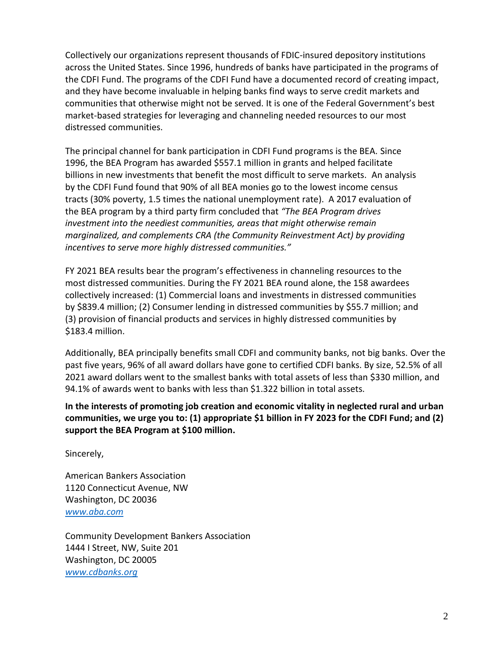Collectively our organizations represent thousands of FDIC-insured depository institutions across the United States. Since 1996, hundreds of banks have participated in the programs of the CDFI Fund. The programs of the CDFI Fund have a documented record of creating impact, and they have become invaluable in helping banks find ways to serve credit markets and communities that otherwise might not be served. It is one of the Federal Government's best market-based strategies for leveraging and channeling needed resources to our most distressed communities.

The principal channel for bank participation in CDFI Fund programs is the BEA. Since 1996, the BEA Program has awarded \$557.1 million in grants and helped facilitate billions in new investments that benefit the most difficult to serve markets. An analysis by the CDFI Fund found that 90% of all BEA monies go to the lowest income census tracts (30% poverty, 1.5 times the national unemployment rate). A 2017 evaluation of the BEA program by a third party firm concluded that *"The BEA Program drives investment into the neediest communities, areas that might otherwise remain marginalized, and complements CRA (the Community Reinvestment Act) by providing incentives to serve more highly distressed communities."*

FY 2021 BEA results bear the program's effectiveness in channeling resources to the most distressed communities. During the FY 2021 BEA round alone, the 158 awardees collectively increased: (1) Commercial loans and investments in distressed communities by \$839.4 million; (2) Consumer lending in distressed communities by \$55.7 million; and (3) provision of financial products and services in highly distressed communities by \$183.4 million.

Additionally, BEA principally benefits small CDFI and community banks, not big banks. Over the past five years, 96% of all award dollars have gone to certified CDFI banks. By size, 52.5% of all 2021 award dollars went to the smallest banks with total assets of less than \$330 million, and 94.1% of awards went to banks with less than \$1.322 billion in total assets.

**In the interests of promoting job creation and economic vitality in neglected rural and urban communities, we urge you to: (1) appropriate \$1 billion in FY 2023 for the CDFI Fund; and (2) support the BEA Program at \$100 million.**

Sincerely,

American Bankers Association 1120 Connecticut Avenue, NW Washington, DC 20036 *[www.aba.com](http://www.aba.com/)*

Community Development Bankers Association 1444 I Street, NW, Suite 201 Washington, DC 20005 *[www.cdbanks.org](http://www.cdbanks.org/)*